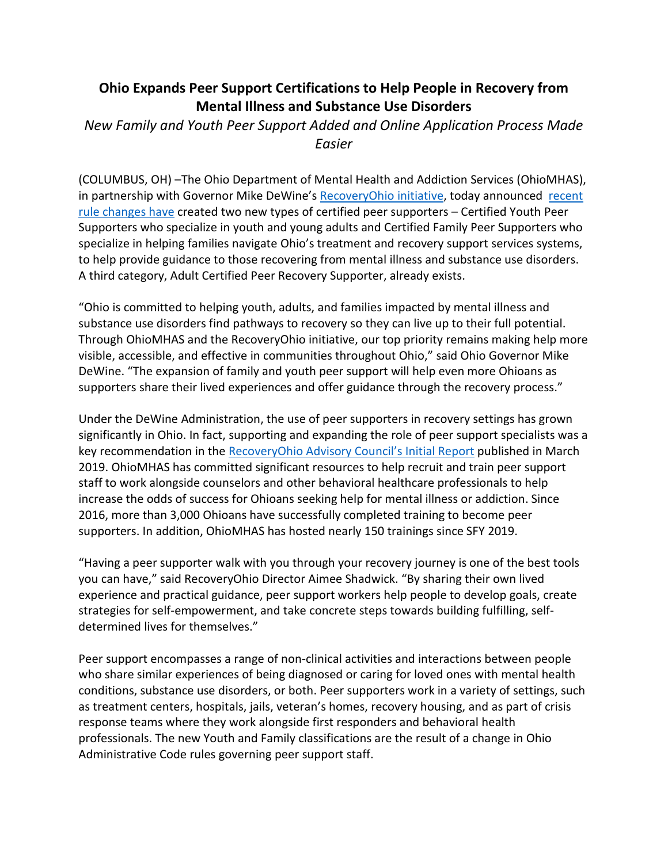## **Ohio Expands Peer Support Certifications to Help People in Recovery from Mental Illness and Substance Use Disorders**

*New Family and Youth Peer Support Added and Online Application Process Made Easier* 

(COLUMBUS, OH) –The Ohio Department of Mental Health and Addiction Services (OhioMHAS), in partnership with Governor Mike DeWine's [RecoveryOhio initiative,](https://recoveryohio.gov/) today announced [recent](https://casetext.com/regulation/ohio-administrative-code/title-5122-department-of-mental-health-and-addiction-services/chapter-5122-29-requirements-and-procedures-for-mental-health-services-provided-by-agencies/section-5122-29-15-effective472022peer-support-services) [rule changes](https://casetext.com/regulation/ohio-administrative-code/title-5122-department-of-mental-health-and-addiction-services/chapter-5122-29-requirements-and-procedures-for-mental-health-services-provided-by-agencies/section-5122-29-15-effective472022peer-support-services) have created two new types of certified peer supporters – Certified Youth Peer Supporters who specialize in youth and young adults and Certified Family Peer Supporters who specialize in helping families navigate Ohio's treatment and recovery support services systems, to help provide guidance to those recovering from mental illness and substance use disorders. A third category, Adult Certified Peer Recovery Supporter, already exists.

"Ohio is committed to helping youth, adults, and families impacted by mental illness and substance use disorders find pathways to recovery so they can live up to their full potential. Through OhioMHAS and the RecoveryOhio initiative, our top priority remains making help more visible, accessible, and effective in communities throughout Ohio," said Ohio Governor Mike DeWine. "The expansion of family and youth peer support will help even more Ohioans as supporters share their lived experiences and offer guidance through the recovery process."

Under the DeWine Administration, the use of peer supporters in recovery settings has grown significantly in Ohio. In fact, supporting and expanding the role of peer support specialists was a key recommendation in the RecoveryOhio [Advisory Council's Initial Report](https://recoveryohio.gov/resources/all-resources/initial-report) published in March 2019. OhioMHAS has committed significant resources to help recruit and train peer support staff to work alongside counselors and other behavioral healthcare professionals to help increase the odds of success for Ohioans seeking help for mental illness or addiction. Since 2016, more than 3,000 Ohioans have successfully completed training to become peer supporters. In addition, OhioMHAS has hosted nearly 150 trainings since SFY 2019.

"Having a peer supporter walk with you through your recovery journey is one of the best tools you can have," said RecoveryOhio Director Aimee Shadwick. "By sharing their own lived experience and practical guidance, peer support workers help people to develop goals, create strategies for self-empowerment, and take concrete steps towards building fulfilling, selfdetermined lives for themselves."

Peer support encompasses a range of non-clinical activities and interactions between people who share similar experiences of being diagnosed or caring for loved ones with mental health conditions, substance use disorders, or both. Peer supporters work in a variety of settings, such as treatment centers, hospitals, jails, veteran's homes, recovery housing, and as part of crisis response teams where they work alongside first responders and behavioral health professionals. The new Youth and Family classifications are the result of a change in Ohio Administrative Code rules governing peer support staff.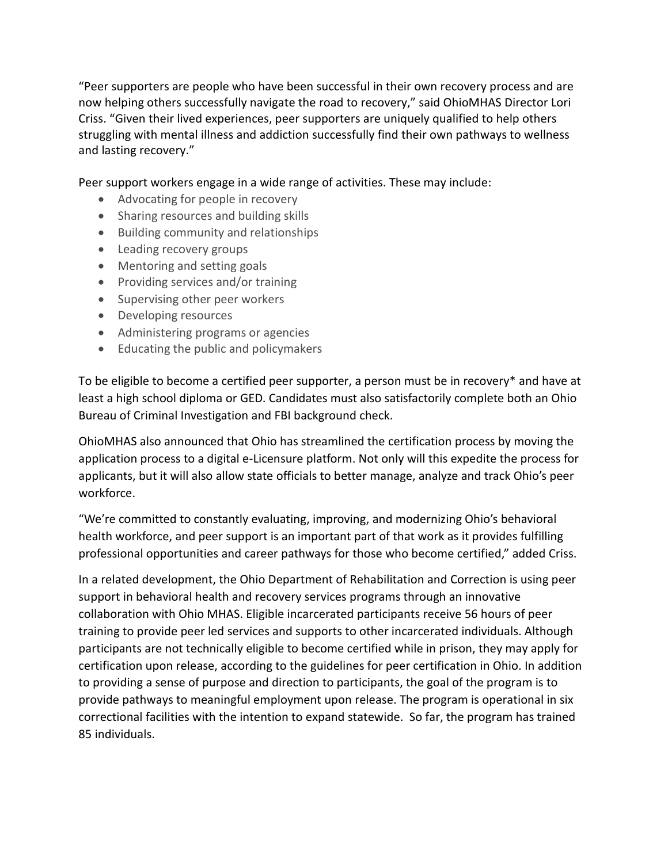"Peer supporters are people who have been successful in their own recovery process and are now helping others successfully navigate the road to recovery," said OhioMHAS Director Lori Criss. "Given their lived experiences, peer supporters are uniquely qualified to help others struggling with mental illness and addiction successfully find their own pathways to wellness and lasting recovery."

Peer support workers engage in a wide range of activities. These may include:

- Advocating for people in recovery
- Sharing resources and building skills
- Building community and relationships
- Leading recovery groups
- Mentoring and setting goals
- Providing services and/or training
- Supervising other peer workers
- Developing resources
- Administering programs or agencies
- Educating the public and policymakers

To be eligible to become a certified peer supporter, a person must be in recovery\* and have at least a high school diploma or GED. Candidates must also satisfactorily complete both an Ohio Bureau of Criminal Investigation and FBI background check.

OhioMHAS also announced that Ohio has streamlined the certification process by moving the application process to a digital e-Licensure platform. Not only will this expedite the process for applicants, but it will also allow state officials to better manage, analyze and track Ohio's peer workforce.

"We're committed to constantly evaluating, improving, and modernizing Ohio's behavioral health workforce, and peer support is an important part of that work as it provides fulfilling professional opportunities and career pathways for those who become certified," added Criss.

In a related development, the Ohio Department of Rehabilitation and Correction is using peer support in behavioral health and recovery services programs through an innovative collaboration with Ohio MHAS. Eligible incarcerated participants receive 56 hours of peer training to provide peer led services and supports to other incarcerated individuals. Although participants are not technically eligible to become certified while in prison, they may apply for certification upon release, according to the guidelines for peer certification in Ohio. In addition to providing a sense of purpose and direction to participants, the goal of the program is to provide pathways to meaningful employment upon release. The program is operational in six correctional facilities with the intention to expand statewide. So far, the program has trained 85 individuals.